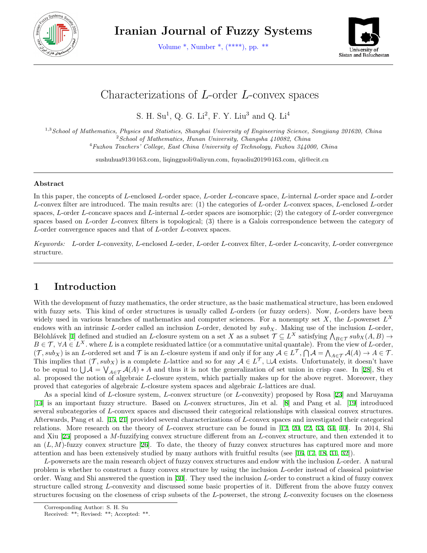

**Iranian Journal of Fuzzy Systems**

Volume \*, Number \*, (\*\*\*\*), pp. \*\*



# Characterizations of *L*-order *L*-convex spaces

S. H. Su<sup>1</sup>, Q. G. Li<sup>2</sup>, F. Y. Liu<sup>3</sup> and Q. Li<sup>4</sup>

1,3*School of Mathematics, Physics and Statistics, Shanghai University of Engineering Science, Songjiang 201620, China* <sup>2</sup>*School of Mathematics, Hunan University, Changsha 410082, China* <sup>4</sup>*Fuzhou Teachers' College, East China University of Technology, Fuzhou 344000, China*

sushuhua913@163.com, liqingguoli@aliyun.com, fuyaoliu2019@163.com, qli@ecit.cn

#### **Abstract**

In this paper, the concepts of *L*-enclosed *L*-order space, *L*-order *L*-concave space, *L*-internal *L*-order space and *L*-order *L*-convex filter are introduced. The main results are: (1) the categories of *L*-order *L*-convex spaces, *L*-enclosed *L*-order spaces, *L*-order *L*-concave spaces and *L*-internal *L*-order spaces are isomorphic; (2) the category of *L*-order convergence spaces based on *L*-order *L*-convex filters is topological; (3) there is a Galois correspondence between the category of *L*-order convergence spaces and that of *L*-order *L*-convex spaces.

*Keywords: L*-order *L*-convexity, *L*-enclosed *L*-order, *L*-order *L*-convex filter, *L*-order *L*-concavity, *L*-order convergence structure.

# **1 Introduction**

With the development of fuzzy mathematics, the order structure, as the basic mathematical structure, has been endowed with fuzzy sets. This kind of order structures is usually called *L*-orders (or fuzzy orders). Now, *L*-orders have been widely used in various branches of mathematics and computer sciences. For a nonempty set *X*, the *L*-powerset *L X* endows with an intrinsic *L*-order called an inclusion *L*-order, denoted by *subX*. Making use of the inclusion *L*-order, Bělohlávek [\[1](#page-12-0)] defined and studied an *L*-closure system on a set *X* as a subset  $\mathcal{T} \subseteq L^X$  satisfying  $\bigwedge_{B \in \mathcal{T}} sub_X(A, B) \to$  $B \in \mathcal{T}$ ,  $\forall A \in L^X$ . where *L* is a complete residuated lattice (or a commutative unital quantale). From the view of *L*-order,  $(\mathcal{T}, sub_X)$  is an L-ordered set and  $\mathcal{T}$  is an L-closure system if and only if for any  $\mathcal{A} \in L^{\mathcal{T}}, \bigcap \mathcal{A} = \bigwedge_{A \in \mathcal{T}} \mathcal{A}(A) \to A \in \mathcal{T}.$ This implies that  $(\mathcal{T}, sub_X)$  is a complete *L*-lattice and so for any  $\mathcal{A} \in L^{\mathcal{T}}$ ,  $\Box \mathcal{A}$  exists. Unfortunately, it doesn't have to be equal to  $\bigcup \mathcal{A} = \bigvee_{A \in \mathcal{T}} \mathcal{A}(A) * A$  and thus it is not the generalization of set union in crisp case. In [[28\]](#page-13-0), Su et al. proposed the notion of algebraic *L*-closure system, which partially makes up for the above regret. Moreover, they proved that categories of algebraic *L*-closure system spaces and algebraic *L*-lattices are dual.

As a special kind of *L*-closure system, *L*-convex structure (or *L*-convexity) proposed by Rosa [[23\]](#page-13-1) and Maruyama [[14\]](#page-13-2) is an important fuzzy structure. Based on *L*-convex structures, Jin et al. [\[8](#page-12-1)] and Pang et al. [\[19](#page-13-3)] introduced several subcategories of *L*-convex spaces and discussed their categorical relationships with classical convex structures. Afterwards, Pang et al. [[15,](#page-13-4) [21](#page-13-5)] provided several characterizations of *L*-convex spaces and investigated their categorical relations. More research on the theory of *L*-convex structure can be found in [[12,](#page-12-2) [20,](#page-13-6) [22](#page-13-7), [33](#page-13-8), [34](#page-13-9), [40](#page-14-0)]. In 2014, Shi and Xiu [[25\]](#page-13-10) proposed a *M*-fuzzifying convex structure different from an *L*-convex structure, and then extended it to an  $(L, M)$ -fuzzy convex structure [\[26](#page-13-11)]. To date, the theory of fuzzy convex structures has captured more and more attention and has been extensively studied by many authors with fruitful results (see [[16,](#page-13-12) [17,](#page-13-13) [18,](#page-13-14) [31,](#page-13-15) [32\]](#page-13-16)).

*L*-powersets are the main research object of fuzzy convex structures and endow with the inclusion *L*-order. A natural problem is whether to construct a fuzzy convex structure by using the inclusion *L*-order instead of classical pointwise order. Wang and Shi answered the question in [[30](#page-13-17)]. They used the inclusion *L*-order to construct a kind of fuzzy convex structure called strong *L*-convexity and discussed some basic properties of it. Different from the above fuzzy convex structures focusing on the closeness of crisp subsets of the *L*-powerset, the strong *L*-convexity focuses on the closeness

Corresponding Author: S. H. Su

Received: \*\*; Revised: \*\*; Accepted: \*\*.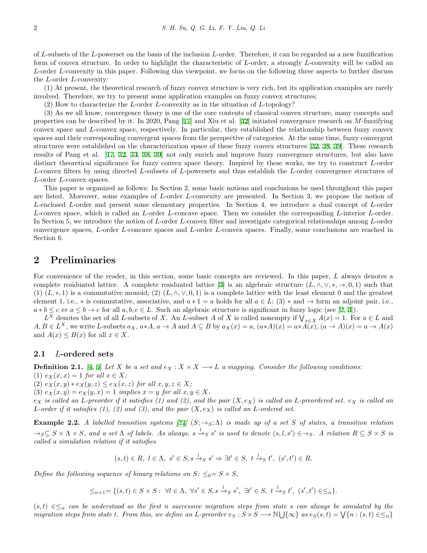of *L*-subsets of the *L*-powerset on the basis of the inclusion *L*-order. Therefore, it can be regarded as a new fuzzification form of convex structure. In order to highlight the characteristic of *L*-order, a strongly *L*-convexity will be called an *L*-order *L*-convexity in this paper. Following this viewpoint, we focus on the following three aspects to further discuss the *L*-order *L*-convexity:

(1) At present, the theoretical research of fuzzy convex structure is very rich, but its application examples are rarely involved. Therefore, we try to present some application examples on fuzzy convex structures;

(2) How to characterize the *L*-order *L*-convexity as in the situation of *L*-topology?

(3) As we all know, convergence theory is one of the core contents of classical convex structure, many concepts and properties can be described by it. In 2020, Pang [[17](#page-13-13)] and Xiu et al. [[32\]](#page-13-16) initiated convergence research on *M*-fuzzifying convex space and *L*-convex space, respectively. In particular, they established the relationship between fuzzy convex spaces and their corresponding convergent spaces from the perspective of categories. At the same time, fuzzy convergent structures were established on the characterization space of these fuzzy convex structures [[32,](#page-13-16) [38,](#page-14-1) [39](#page-14-2)]. These research results of Pang et al. [[17,](#page-13-13) [32](#page-13-16), [33](#page-13-8), [38](#page-14-1), [39](#page-14-2)] not only enrich and improve fuzzy convergence structures, but also have distinct theoretical significance for fuzzy convex space theory. Inspired by these works, we try to construct *L*-order *L*-convex filters by using directed *L*-subsets of *L*-powersets and thus establish the *L*-order convergence structures of *L*-order *L*-convex spaces.

This paper is organized as follows: In Section 2, some basic notions and conclusions be used throughout this paper are listed. Moreover, some examples of *L*-order *L*-convexity are presented. In Section 3, we propose the notion of *L*-enclosed *L*-order and present some elementary properties. In Section 4, we introduce a dual concept of *L*-order *L*-convex space, which is called an *L*-order *L*-concave space. Then we consider the corresponding *L*-interior *L*-order. In Section 5, we introduce the notion of *L*-order *L*-convex filter and investigate categorical relationships among *L*-order convergence spaces, *L*-order *L*-concave spaces and *L*-order *L*-convex spaces. Finally, some conclusions are reached in Section 6.

## **2 Preliminaries**

For convenience of the reader, in this section, some basic concepts are reviewed. In this paper, *L* always denotes a complete residuated lattice. A complete residuated lattice [[3\]](#page-12-3) is an algebraic structure  $(L, \wedge, \vee, *, \rightarrow, 0, 1)$  such that (1)  $(L,*,1)$  is a commutative monoid; (2)  $(L,\wedge,\vee,0,1)$  is a complete lattice with the least element 0 and the greatest element 1, i.e.,  $*$  is commutative, associative, and  $a * 1 = a$  holds for all  $a \in L$ ; (3)  $*$  and  $\rightarrow$  form an adjoint pair, i.e.,  $a * b \leq c \Leftrightarrow a \leq b \rightarrow c$  for all  $a, b, c \in L$ . Such an algebraic structure is significant in fuzzy logic (see [[2,](#page-12-4) [3\]](#page-12-3)).

*L*<sup>*X*</sup> denotes the set of all *L*-subsets of *X*. An *L*-subset *A* of *X* is called nonempty if  $\bigvee_{x \in X} A(x) = 1$ . For *a* ∈ *L* and  $A, B \in L^X$ , we write L-subsets  $a_X, a*A, a \to A$  and  $A \subseteq B$  by  $a_X(x) = a, (a*A)(x) = a*A(x), (a \to A)(x) = a \to A(x)$ and  $A(x) \leq B(x)$  for all  $x \in X$ .

#### **2.1** *L***-ordered sets**

**Definition 2.1.** [\[4](#page-12-5), [5](#page-12-6)] *Let X be a set and*  $e_X : X \times X \longrightarrow L$  *a mapping. Consider the following conditions:*  $(1)$   $e_X(x, x) = 1$  *for all*  $x \in X$ ;

 $(2)$   $e_X(x, y) * e_X(y, z) \leq e_X(x, z)$  *for all*  $x, y, z \in X$ ;

(3)  $e_X(x, y) = e_X(y, x) = 1$  *implies*  $x = y$  *for all*  $x, y \in X$ *.* 

 $e_X$  *is called an L*-preorder if it satisfies (1) and (2), and the pair  $(X, e_X)$  *is called an L*-preordered set.  $e_X$  *is called an L-order if it satisfies (1), (2) and (3), and the pair* (*X, eX*) *is called an L-ordered set.*

<span id="page-1-0"></span>**Example 2.2.** *A labelled transition systems* [[24\]](#page-13-18)  $(S; \rightarrow_S; \Lambda)$  *is made up of a set S of states, a transition relation*  $\rightarrow_S S \subseteq S \times \Lambda \times S$ , and a set  $\Lambda$  of labels. As always,  $s \stackrel{l}{\rightarrow_S} s'$  is used to denote  $(s, l, s') \in \rightarrow_S$ . A relation  $R \subseteq S \times S$  is *called a simulation relation if it satisfies*

$$
(s,t)\in R,\ l\in\Lambda,\ s'\in S, s\xrightarrow{l} s\ s'\Rightarrow \exists t'\in S,\ t\xrightarrow{l} s\ t',\ (s',t')\in R.
$$

*Define the following sequence of binary relations on*  $S: \leq_0 = S \times S$ ,

$$
\leq_{n+1}=\{(s,t)\in S\times S:\ \forall l\in\Lambda,\ \forall s'\in S, s\stackrel{l}{\to}_S s',\ \exists t'\in S,\ t\stackrel{l}{\to}_S t',\ (s',t')\in\leq_n\}.
$$

(*s, t*) *∈≤<sup>n</sup> can be understood as the first n successive migration steps from state s can always be simulated by the* migration steps from state t. From this, we define an L-preorder  $e_S : S \times S \longrightarrow \mathbb{N} \bigcup \{\infty\}$  as  $e_S(s, t) = \bigvee \{n : (s, t) \in \leq_n\}$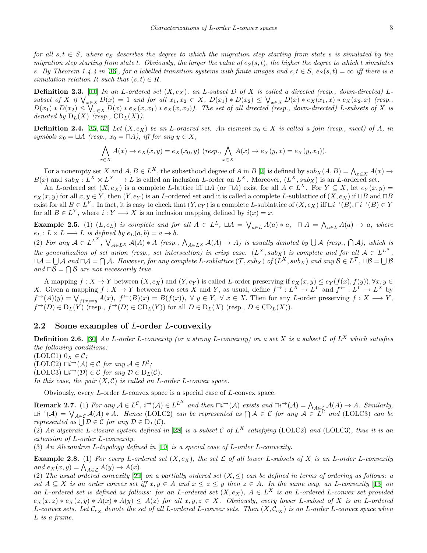*for all*  $s, t \in S$ , where  $e_S$  describes the degree to which the migration step starting from state *s* is simulated by the *migration step starting from state t. Obviously, the larger the value of*  $e_S(s,t)$ , the higher the degree to which t simulates *s. By Theorem 1.4.4 in* [[36](#page-14-3)]*, for a labelled transition systems with finite images and*  $s, t \in S$ *,*  $e_S(s, t) = \infty$  *iff there is a simulation relation*  $R$  *such that*  $(s, t) \in R$ *.* 

**Definition 2.3.** [\[11](#page-12-7)] *In an L*-ordered set  $(X, e_X)$ *, an L*-subset *D* of *X* is called a directed (resp., down-directed) *L*subset of X if  $\bigvee_{x \in X} D(x) = 1$  and for all  $x_1, x_2 \in X$ ,  $D(x_1) * D(x_2) \le \bigvee_{x \in X} D(x) * e_X(x_1, x) * e_X(x_2, x)$  (resp.  $D(x_1) * D(x_2) \leq \bigvee_{x \in X} D(x) * e_X(x, x_1) * e_X(x, x_2)$ . The set of all directed (resp., down-directed) L-subsets of X is *denoted by*  $D_L(X)$  *(resp.,*  $CD_L(X)$ *).* 

**Definition 2.4.** [[35,](#page-13-19) [37](#page-14-4)] *Let*  $(X, e_X)$  *be an L*-ordered set. An element  $x_0 \in X$  *is called a join (resp., meet) of A, in*  $symbols x_0 = \Box A$   $(resp., x_0 = \Box A)$ , iff for any  $y \in X$ ,

$$
\bigwedge_{x \in X} A(x) \to e_X(x, y) = e_X(x_0, y) \ (resp., \bigwedge_{x \in X} A(x) \to e_X(y, x) = e_X(y, x_0)).
$$

For a nonempty set *X* and  $A, B \in L^X$ , the subsethood degree of  $A$  in  $B$  [\[2](#page-12-4)] is defined by  $sub_X(A, B) = \bigwedge_{x \in X} A(x) \to$  $B(x)$  and  $sub_X: L^X \times L^X \longrightarrow L$  is called an inclusion L-order on  $L^X$ . Moreover,  $(L^X, sub_X)$  is an L-ordered set.

An L-ordered set  $(X, e_X)$  is a complete L-lattice iff  $\Box A$  (or  $\Box A$ ) exist for all  $A \in L^X$ . For  $Y \subseteq X$ , let  $e_Y(x, y) =$  $e_X(x, y)$  for all  $x, y \in Y$ , then  $(Y, e_Y)$  is an L-ordered set and it is called a complete L-sublattice of  $(X, e_X)$  if  $\sqcup B$  and  $\neg B$ exist for all  $B \in L^Y$ . In fact, it is easy to check that  $(Y, e_Y)$  is a complete L-sublattice of  $(X, e_X)$  iff  $\Box i^{\rightarrow}(B)$ ,  $\Box i^{\rightarrow}(B) \in Y$ for all  $B \in L^Y$ , where  $i: Y \longrightarrow X$  is an inclusion mapping defined by  $i(x) = x$ .

**Example 2.5.** (1)  $(L, e_L)$  is complete and for all  $A \in L^L$ ,  $\Box A = \bigvee_{a \in L} A(a) * a$ ,  $\Box A = \bigwedge_{a \in L} A(a) \rightarrow a$ , where  $e_L: L \times L \longrightarrow L$  *is defined by*  $e_L(a, b) = a \longrightarrow b$ *.* 

(2) For any  $A \in L^{L^X}$ ,  $\bigvee_{A \in L^X} A(A) * A$  (resp.,  $\bigwedge_{A \in L^X} A(A) \to A$ ) is usually denoted by  $\bigcup A$  (resp.,  $\bigcap A$ ), which is *the generalization of set union (resp., set intersection) in crisp case.*  $(L^X, sub_X)$  is complete and for all  $A \in L^{L^X}$ ,  $\Box A=\bigcup A$  and  $\Box A=\bigcap A$ . However, for any complete L-sublattice  $(\mathcal{T},sub_X)$  of  $(L^X,sub_X)$  and any  $\mathcal{B}\in L^{\mathcal{T}}, \Box \mathcal{B}=\bigcup \mathcal{B}$ *and*  $\Box$ *B* =  $\bigcap$ *B are not necessarily true.* 

A mapping  $f: X \to Y$  between  $(X, e_X)$  and  $(Y, e_Y)$  is called L-order preserving if  $e_X(x, y) \leq e_Y(f(x), f(y)), \forall x, y \in Y$ X. Given a mapping  $f: X \to Y$  between two sets X and Y, as usual, define  $f^{\to}: L^X \to L^Y$  and  $f^{\leftarrow}: L^Y \to L^X$  by  $f^{\rightarrow}(A)(y) = \bigvee_{f(x)=y} A(x), \ f^{\leftarrow}(B)(x) = B(f(x)), \ \forall \ y \in Y, \ \forall \ x \in X.$  Then for any L-order preserving  $f: X \longrightarrow Y$ ,  $f^{\rightarrow}(D) \in D_L(Y)$  (resp.,  $f^{\rightarrow}(D) \in \text{CD}_L(Y)$ ) for all  $D \in D_L(X)$  (resp.,  $D \in \text{CD}_L(X)$ ).

#### **2.2 Some examples of** *L***-order** *L***-convexity**

**Definition 2.6.** [\[30](#page-13-17)] *An L-order L-convexity (or a strong L-convexity) on a set X is a subset C of L <sup>X</sup> which satisfies the following conditions:*

 $(LOLC1)$   $0_X \in \mathcal{C}$ ;

 $(LOLC2) ∏i<sup>→</sup>(A) ∈ C$  *for any*  $A ∈ L<sup>C</sup>$ ;

 $(LOLC3) \sqcup i\rightarrow (D) \in \mathcal{C}$  *for any*  $D \in D_L(\mathcal{C})$ *.* 

In this case, the pair  $(X, \mathcal{C})$  is called an *L*-order *L*-convex space.

Obviously, every *L*-order *L*-convex space is a special case of *L*-convex space.

**Remark 2.7.** (1) For any  $A \in L^{\mathcal{C}}$ ,  $i^{\rightarrow}(\mathcal{A}) \in L^{L^{X}}$  and then  $\Box i^{\rightarrow}(\mathcal{A})$  exists and  $\Box i^{\rightarrow}(\mathcal{A}) = \bigwedge_{A \in \mathcal{C}} A(A) \rightarrow A$ . Similarly,<br> $\Box i^{\rightarrow}(\mathcal{A}) = \bigvee_{A \in \mathcal{C}} A(A) * A$ . Hence (LOLC2) can be represented as *represented as*  $\bigcup \mathcal{D} \in \mathcal{C}$  *for any*  $\mathcal{D} \in D_L(\mathcal{C})$ *.* 

(2) An algebraic L-closure system defined in [\[28](#page-13-0)] is a subset  $C$  of  $L^X$  satisfying (LOLC2) and (LOLC3), thus it is an *extension of L-order L-convexity.*

(3) *An Alexandrov L-topology defined in* [[10\]](#page-12-8) *is a special case of L-order L-convexity.*

<span id="page-2-0"></span>**Example 2.8.** (1) For every L-ordered set  $(X, e_X)$ , the set  $\mathcal L$  of all lower L-subsets of X is an L-order L-convexity  $\lim_{y \to \infty} e_X(x, y) = \bigwedge_{A \in \mathcal{L}} A(y) \to A(x).$ 

(2) The usual ordered convexity [[29\]](#page-13-20) on a partially ordered set  $(X, \leq)$  can be defined in terms of ordering as follows: a set  $A \subseteq X$  is an order convex set iff  $x, y \in A$  and  $x \le z \le y$  then  $z \in A$ . In the same way, an L-convexity [\[13](#page-13-21)] on an L-ordered set is defined as follows: for an L-ordered set  $(X, e_X)$ ,  $A \in L^X$  is an L-ordered L-convex set provided  $e_X(x, z) * e_X(z, y) * A(x) * A(y) \leq A(z)$  for all  $x, y, z \in X$ . Obviously, every lower L-subset of X is an L-ordered L-convex sets. Let  $\mathcal{C}_{e_X}$  denote the set of all L-ordered L-convex sets. Then  $(X, \mathcal{C}_{e_X})$  is an L-order L-convex space when *L is a frame.*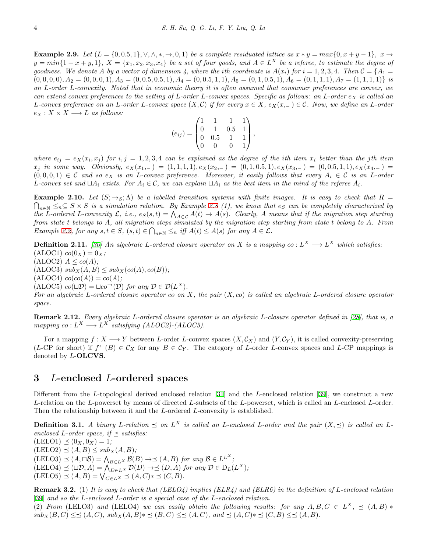**Example 2.9.** Let  $(L = \{0, 0.5, 1\}, \vee, \wedge, *, \rightarrow, 0, 1)$  be a complete residuated lattice as  $x * y = max\{0, x + y - 1\}, x \rightarrow$  $y = min\{1-x+y,1\}$ ,  $X = \{x_1,x_2,x_3,x_4\}$  be a set of four goods, and  $A \in L^X$  be a referee, to estimate the degree of goodness. We denote A by a vector of dimension 4, where the ith coordinate is  $A(x_i)$  for  $i = 1, 2, 3, 4$ . Then  $C = \{A_1 =$  $(0,0,0,0), A_2 = (0,0,0,1), A_3 = (0,0.5,0.5,1), A_4 = (0,0.5,1,1), A_5 = (0,1,0.5,1), A_6 = (0,1,1,1), A_7 = (1,1,1,1)$  is *an L-order L-convexity. Noted that in economic theory it is often assumed that consumer preferences are convex, we can extend convex preferences to the setting of L-order L-convex spaces. Specific as follows: an L-order e<sup>X</sup> is called an* L-convex preference on an L-order L-convex space  $(X, \mathcal{C})$  if for every  $x \in X$ ,  $e_X(x) = \mathcal{C}$ . Now, we define an L-order  $e_X: X \times X \longrightarrow L$  *as follows:* 

$$
(e_{ij}) = \begin{pmatrix} 1 & 1 & 1 & 1 \\ 0 & 1 & 0.5 & 1 \\ 0 & 0.5 & 1 & 1 \\ 0 & 0 & 0 & 1 \end{pmatrix},
$$

where  $e_{ij} = e_X(x_i, x_j)$  for  $i, j = 1, 2, 3, 4$  can be explained as the degree of the ith item  $x_i$  better than the jth item  $x_j$  in some way. Obviously,  $e_X(x_{1,-}) = (1,1,1,1), e_X(x_{2,-}) = (0,1,0.5,1), e_X(x_{3,-}) = (0,0.5,1,1), e_X(x_{4,-}) =$  $(0,0,0,1) \in \mathcal{C}$  and so  $e_X$  is an L-convex preference. Moreover, it easily follows that every  $A_i \in \mathcal{C}$  is an L-order L-convex set and  $\Box A_i$  exists. For  $A_i \in \mathcal{C}$ , we can explain  $\Box A_i$  as the best item in the mind of the referee  $A_i$ .

**Example 2.10.** Let  $(S; \rightarrow_S; \Lambda)$  be a labelled transition systems with finite images. It is easy to check that  $R =$  $\bigcap_{n \in \mathbb{N}}$  ≤<sub>*n*</sub>⊆ *S* × *S is a simulation relation. By Example* [2.8](#page-2-0) (1), we know that  $e_S$  *can be completely characterized by* the L-ordered L-convexity  $\mathcal{L}$ , i.e.,  $e_S(s,t) = \bigwedge_{A \in \mathcal{L}} A(t) \rightarrow A(s)$ . Clearly, A means that if the migration step starting *from state t belongs to A, all migration steps simulated by the migration step starting from state t belong to A. From* Example [2.2,](#page-1-0) for any  $s, t \in S$ ,  $(s, t) \in \bigcap_{n \in \mathbb{N}} \leq_n$  iff  $A(t) \leq A(s)$  for any  $A \in \mathcal{L}$ .

**Definition 2.11.** [\[30](#page-13-17)] An algebraic *L*-ordered closure operator on X is a mapping  $co: L^X \longrightarrow L^X$  which satisfies:  $(cALOC1)$   $co(0_X) = 0_X$ ;

 $(ALOC2)$   $A \leq co(A);$  $(ALOC3)$   $sub_X(A, B) \leq sub_X(co(A), co(B))$ ;

 $(ALOG4)$   $co(co(A)) = co(A);$ 

 $(ALOC5)$   $co(\Box \mathcal{D}) = \Box co \rightarrow (\mathcal{D})$  *for any*  $\mathcal{D} \in \mathcal{D}(L^X)$ *.* 

*For an algebraic L-ordered closure operator co on X, the pair* (*X, co*) *is called an algebraic L-ordered closure operator space.*

**Remark 2.12.** *Every algebraic L-ordered closure operator is an algebraic L-closure operator defined in [[28](#page-13-0)], that is, a mapping*  $co: L^X \longrightarrow L^X$  *satisfying* (ALOC2)-(ALOC5).

For a mapping  $f: X \longrightarrow Y$  between *L*-order *L*-convex spaces  $(X, \mathcal{C}_X)$  and  $(Y, \mathcal{C}_Y)$ , it is called convexity-preserving (*L*-CP for short) if  $f^{\leftarrow}(B) \in C_X$  for any  $B \in C_Y$ . The category of *L*-order *L*-convex spaces and *L*-CP mappings is denoted by *L*-**OLCVS**.

# **3** *L***-enclosed** *L***-ordered spaces**

Different from the *L*-topological derived enclosed relation [[31](#page-13-15)] and the *L*-enclosed relation [\[39](#page-14-2)], we construct a new *L*-relation on the *L*-powerset by means of directed *L*-subsets of the *L*-powerset, which is called an *L*-enclosed *L*-order. Then the relationship between it and the *L*-ordered *L*-convexity is established.

**Definition 3.1.** A binary L-relation  $\preceq$  on  $L^X$  is called an L-enclosed L-order and the pair  $(X, \preceq)$  is called an L*enclosed L*-order space, if  $\preceq$  *satisfies:*  $(LELO1) \preceq (0_X, 0_X) = 1;$ 

 $(LELO2) \preceq (A, B) \leq sub_X(A, B);$ 

 $(LELO3)$   $\preceq (A, \Box B) = \bigwedge_{B \in L^X} B(B) \rightarrow \preceq (A, B)$  *for any*  $B \in L^{L^X}$ ;

 $(EELO4) \preceq (\Box \mathcal{D}, A) = \bigwedge_{D \in L^X} \mathcal{D}(D) \rightarrow \preceq (D, A) \text{ for any } \mathcal{D} \in D_L(L^X);$ 

 $(LELO5) \leq (A, B) = \bigvee_{C \in L^X} \leq (A, C) * \leq (C, B).$ 

**Remark 3.2.** (1) *It is easy to check that (LELO4) implies (ELR4) and (ELR6) in the definition of L-enclosed relation* [[39\]](#page-14-2) *and so the L-enclosed L-order is a special case of the L-enclosed relation.*

<span id="page-3-0"></span>(2) *From* (LELO3) and (LELO4) we can easily obtain the following results: for any  $A, B, C \in L^X$ ,  $\preceq (A, B)$  \*  $sub_X(B,C) \leq \preceq (A,C)$ ,  $sub_X(A,B) \neq \preceq (B,C) \leq \preceq (A,C)$ , and  $\preceq (A,C) \neq \preceq (C,B) \leq \preceq (A,B)$ .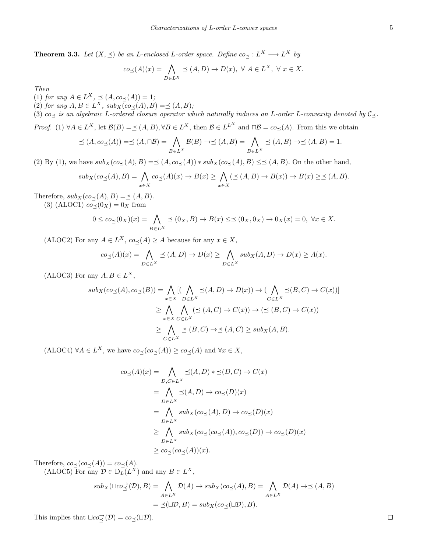**Theorem 3.3.** *Let*  $(X, \leq)$  *be an L*-enclosed *L*-order space. Define  $co_{\leq} : L^X \longrightarrow L^X$  *by* 

$$
co_{\preceq}(A)(x) = \bigwedge_{D \in L^X} \preceq (A, D) \to D(x), \ \forall \ A \in L^X, \ \forall \ x \in X.
$$

*Then*

 $(1)$  *for any*  $A \in L^X$ ,  $\leq (A, co \leq (A)) = 1$ ;

(2) *for any*  $A, B \in L^X$ *, sub*<sub>X</sub> $\overline{(co \leq (A), B)} = \leq (A, B)$ *;* 

(3) *co<sup>≼</sup> is an algebraic L-ordered closure operator which naturally induces an L-order L-convexity denoted by C≼.*

*Proof.* (1)  $\forall A \in L^X$ , let  $\mathcal{B}(B) = \preceq (A, B), \forall B \in L^X$ , then  $\mathcal{B} \in L^{L^X}$  and  $\Box \mathcal{B} = co_{\preceq}(A)$ . From this we obtain

$$
\preceq (A, co_{\preceq}(A)) = \preceq (A, \sqcap B) = \bigwedge_{B \in L^{X}} \mathcal{B}(B) \to \preceq (A, B) = \bigwedge_{B \in L^{X}} \preceq (A, B) \to \preceq (A, B) = 1.
$$

(2) By (1), we have  $\mathop{\rm sub}_X(c\sigma_{\preceq}(A),B)=\preceq (A,\cos_{\preceq}(A)) \ast \mathop{\rm sub}_X(c\sigma_{\preceq}(A),B) \leq \preceq (A,B)$ . On the other hand,

$$
sub_X(co_\preceq(A), B) = \bigwedge_{x \in X} co_\preceq(A)(x) \to B(x) \ge \bigwedge_{x \in X} (\preceq(A, B) \to B(x)) \to B(x) \ge \preceq(A, B).
$$

Therefore,  $sub_X(cos\prec(A), B) = \preceq (A, B)$ .

(3) (ALOC1)  $co \lt (0_X) = 0_X$  from

$$
0 \leq c_{0} \leq (0_{X})(x) = \bigwedge_{B \in L^{X}} \preceq (0_{X}, B) \to B(x) \leq \preceq (0_{X}, 0_{X}) \to 0_{X}(x) = 0, \ \forall x \in X.
$$

(ALOC2) For any  $A \in L^X$ ,  $co_\preceq(A) \ge A$  because for any  $x \in X$ ,

$$
co_{\preceq}(A)(x) = \bigwedge_{D \in L^X} \preceq (A, D) \to D(x) \ge \bigwedge_{D \in L^X} sub_X(A, D) \to D(x) \ge A(x).
$$

 $(ALOC3)$  For any  $A, B \in L^X$ ,

$$
sub_X(cos_{\preceq}(A), co_{\preceq}(B)) = \bigwedge_{x \in X} [(\bigwedge_{D \in L^X} \preceq (A, D) \to D(x)) \to (\bigwedge_{C \in L^X} \preceq (B, C) \to C(x))]
$$
  
\n
$$
\geq \bigwedge_{x \in X} \bigwedge_{C \in L^X} (\preceq (A, C) \to C(x)) \to (\preceq (B, C) \to C(x))
$$
  
\n
$$
\geq \bigwedge_{C \in L^X} \preceq (B, C) \to \preceq (A, C) \geq sub_X(A, B).
$$

(ALOC4)  $\forall A \in L^X$ , we have  $co_\preceq (co_\preceq(A)) \geq co_\preceq(A)$  and  $\forall x \in X$ ,

$$
co_{\preceq}(A)(x) = \bigwedge_{D,C \in L^{X}} \preceq (A, D) * \preceq (D, C) \to C(x)
$$
  
= 
$$
\bigwedge_{D \in L^{X}} \preceq (A, D) \to co_{\preceq}(D)(x)
$$
  
= 
$$
\bigwedge_{D \in L^{X}} sub_X (co_{\preceq}(A), D) \to co_{\preceq}(D)(x)
$$
  

$$
\geq \bigwedge_{D \in L^{X}} sub_X (co_{\preceq}(co_{\preceq}(A)), co_{\preceq}(D)) \to co_{\preceq}(D)(x)
$$
  

$$
\geq co_{\preceq}(co_{\preceq}(A))(x).
$$

Therefore,  $co_\preceq (co_\preceq(A)) = co_\preceq(A)$ .

 $(LLOC5)$  For any  $D \in D<sub>L</sub>(L<sup>X</sup>)$  and any  $B \in L<sup>X</sup>$ ,

$$
sub_X(\sqcup co\rightleftharpoons^{\rightarrow}(\mathcal{D}), B) = \bigwedge_{A \in L^X} \mathcal{D}(A) \to sub_X(co_{\preceq}(A), B) = \bigwedge_{A \in L^X} \mathcal{D}(A) \to \preceq (A, B)
$$

$$
= \preceq(\sqcup \mathcal{D}, B) = sub_X(co_{\preceq}(\sqcup \mathcal{D}), B).
$$

This implies that  $\sqcup co \precneq^{\mathcal{O}}(\mathcal{D}) = co \prec(\sqcup \mathcal{D})$ .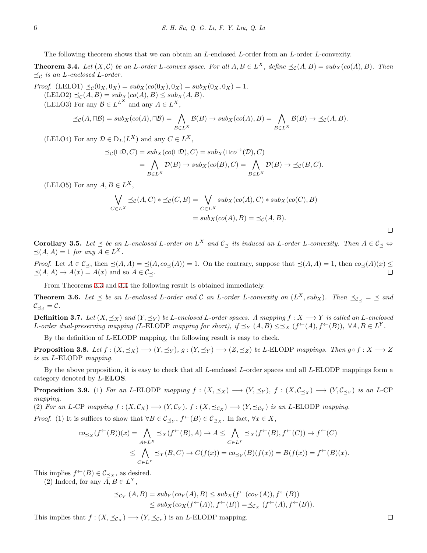The following theorem shows that we can obtain an *L*-enclosed *L*-order from an *L*-order *L*-convexity.

<span id="page-5-0"></span>**Theorem 3.4.** Let  $(X, \mathcal{C})$  be an L-order L-convex space. For all  $A, B \in L^X$ , define  $\preceq_{\mathcal{C}} (A, B) = sub_X (co(A), B)$ . Then *≼<sup>C</sup> is an L-enclosed L-order.*

*Proof.* (LELO1)  $\preceq_{\mathcal{C}} (0_X, 0_X) = sub_X(co(0_X), 0_X) = sub_X(0_X, 0_X) = 1.$  $(\text{LELO2}) \preceq_{\mathcal{C}} (A, B) = \sup_{X} (\text{co}(A), B) \leq \sup_{X} (A, B).$ (LELO3) For any  $\mathcal{B} \in L^{L^X}$  and any  $A \in L^X$ ,

$$
\preceq_{\mathcal{C}} (A,\sqcap \mathcal{B}) = sub_X(co(A),\sqcap \mathcal{B}) = \bigwedge_{B \in L^X} \mathcal{B}(B) \to sub_X(co(A),B) = \bigwedge_{B \in L^X} \mathcal{B}(B) \to \preceq_{\mathcal{C}} (A,B).
$$

(LELO4) For any  $\mathcal{D} \in D_L(L^X)$  and any  $C \in L^X$ ,

$$
\preceq_{\mathcal{C}} (\sqcup \mathcal{D}, C) = sub_X(co(\sqcup \mathcal{D}), C) = sub_X(\sqcup co^{\rightarrow}(\mathcal{D}), C)
$$
  
= 
$$
\bigwedge_{B \in L^X} \mathcal{D}(B) \to sub_X(co(B), C) = \bigwedge_{B \in L^X} \mathcal{D}(B) \to \preceq_{\mathcal{C}} (B, C).
$$

(LELO5) For any  $A, B \in L^X$ ,

$$
\bigvee_{C \in L^X} \preceq_{\mathcal{C}} (A, C) * \preceq_{\mathcal{C}} (C, B) = \bigvee_{C \in L^X} sub_X(co(A), C) * sub_X(co(C), B)
$$

$$
= sub_X(co(A), B) = \preceq_{\mathcal{C}} (A, B).
$$

 $\Box$ 

**Corollary 3.5.** Let  $\preceq$  be an L-enclosed L-order on  $L^X$  and  $\mathcal{C}_{\preceq}$  its induced an L-order L-convexity. Then  $A \in \mathcal{C}_{\preceq} \Leftrightarrow$  $\preceq$ (*A, A*) = 1 *for any*  $A \in L^X$ .

*Proof.* Let  $A \in \mathcal{C}_{\preceq}$ , then  $\preceq(A, A) = \preceq(A, co_{\preceq}(A)) = 1$ . On the contrary, suppose that  $\preceq(A, A) = 1$ , then  $co_{\preceq}(A)(x) \preceq$  $\preceq$ (*A*, *A*) → *A*(*x*) = *A*(*x*) and so *A* ∈  $\mathcal{C}_{\preceq}$ .

From Theorems [3.3](#page-3-0) and [3.4](#page-5-0) the following result is obtained immediately.

<span id="page-5-1"></span>**Theorem 3.6.** Let  $\leq$  be an L-enclosed L-order and C an L-order L-convexity on  $(L^X, sub_X)$ . Then  $\preceq_{\mathcal{C}_{\preceq}} \preceq$  and  $\mathcal{C}_{\preceq_c} = \mathcal{C}$ *.* 

**Definition 3.7.** Let  $(X, \preceq_X)$  and  $(Y, \preceq_Y)$  be L-enclosed L-order spaces. A mapping  $f : X \longrightarrow Y$  is called an L-enclosed L-order dual-preserving mapping (L-ELODP mapping for short), if  $\preceq_Y (A, B) \leq \preceq_X (f^{\leftarrow}(A), f^{\leftarrow}(B))$ ,  $\forall A, B \in L^Y$ .

By the definition of *L*-ELODP mapping, the following result is easy to check.

**Proposition 3.8.** Let  $f:(X,\preceq_X)\longrightarrow (Y,\preceq_Y), g:(Y,\preceq_Y)\longrightarrow (Z,\preceq_Z)$  be L-ELODP mappings. Then  $g\circ f:X\longrightarrow Z$ *is an L-*ELODP *mapping.*

By the above proposition, it is easy to check that all *L*-enclosed *L*-order spaces and all *L*-ELODP mappings form a category denoted by *L*-**ELOS**.

<span id="page-5-2"></span>**Proposition 3.9.** (1) For an L-ELODP mapping  $f : (X, \preceq_X) \longrightarrow (Y, \preceq_Y)$ ,  $f : (X, \mathcal{C}_{\preceq_X}) \longrightarrow (Y, \mathcal{C}_{\preceq_Y})$  is an L-CP *mapping.*

(2) For an L-CP mapping  $f:(X,\mathcal{C}_X)\longrightarrow (Y,\mathcal{C}_Y),$   $f:(X,\preceq_{\mathcal{C}_X})\longrightarrow (Y,\preceq_{\mathcal{C}_Y})$  is an L-ELODP mapping.

*Proof.* (1) It is suffices to show that  $\forall B \in C_{\leq Y}$ ,  $f^{\leftarrow}(B) \in C_{\leq X}$ . In fact,  $\forall x \in X$ ,

$$
co_{\preceq_X}(f^{\leftarrow}(B))(x) = \bigwedge_{A \in L^X} \preceq_X(f^{\leftarrow}(B), A) \to A \leq \bigwedge_{C \in L^Y} \preceq_X(f^{\leftarrow}(B), f^{\leftarrow}(C)) \to f^{\leftarrow}(C)
$$
  

$$
\leq \bigwedge_{C \in L^Y} \preceq_Y(B, C) \to C(f(x)) = co_{\preceq_Y}(B)(f(x)) = B(f(x)) = f^{\leftarrow}(B)(x).
$$

This implies  $f^{\leftarrow}(B) \in \mathcal{C}_{\preceq_X}$ , as desired.

(2) Indeed, for any  $A, B \in L^Y$ ,

$$
\preceq_{\mathcal{C}_Y} (A, B) = sub_Y(c_{O_Y}(A), B) \leq sub_X(f^{\leftarrow}(c_{O_Y}(A)), f^{\leftarrow}(B))
$$
  

$$
\leq sub_X(c_{O_X}(f^{\leftarrow}(A)), f^{\leftarrow}(B)) = \preceq_{C_X} (f^{\leftarrow}(A), f^{\leftarrow}(B)).
$$

This implies that  $f : (X, \preceq_{\mathcal{C}_X}) \longrightarrow (Y, \preceq_{\mathcal{C}_Y})$  is an *L*-ELODP mapping.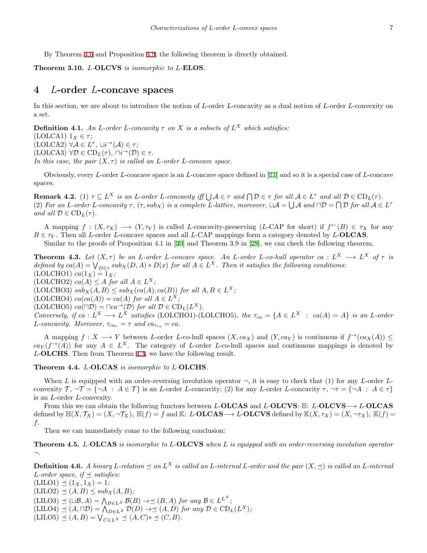By Theorem [3.6](#page-5-1) and Proposition [3.9,](#page-5-2) the following theorem is directly obtained.

**Theorem 3.10.** *L-***OLCVS** *is isomorphic to L-***ELOS***.*

### **4** *L***-order** *L***-concave spaces**

In this section, we are about to introduce the notion of *L*-order *L*-concavity as a dual notion of *L*-order *L*-convexity on a set.

**Definition 4.1.** *An L*-order *L*-concavity  $\tau$  on  $X$  is a subsets of  $L^X$  which satisfies:

(LOLCA1)  $1_X \in \tau$ ;

 $(LOLCA2)$   $\forall A \in L^{\tau}, \sqcup i^{\rightarrow} (A) \in \tau;$  $(\text{LOLCA3}) \ \forall \mathcal{D} \in \text{CD}_L(\tau), \ \Box i^{\rightarrow}(\mathcal{D}) \in \tau.$ 

*In this case, the pair*  $(X, \tau)$  *is called an L*-order *L*-concave space.

Obviously, every *L*-order *L*-concave space is an *L*-concave space defined in [[21](#page-13-5)] and so it is a special case of *L*-concave spaces.

**Remark 4.2.** (1)  $\tau \subseteq L^X$  is an L-order L-concavity iff  $\bigcup \mathcal{A} \in \tau$  and  $\bigcap \mathcal{D} \in \tau$  for all  $\mathcal{A} \in L^{\tau}$  and all  $\mathcal{D} \in \mathrm{CD}_L(\tau)$ . (2) For an L-order L-concavity  $\tau$ ,  $(\tau, sub_X)$  is a complete L-lattice, moreover,  $\Box A = \bigcup A$  and  $\Box D = \bigcap D$  for all  $A \in L^{\tau}$ *and all*  $D \in \text{CD}_L(\tau)$ *.* 

A mapping  $f : (X, \tau_X) \longrightarrow (Y, \tau_Y)$  is called *L*-concavity-preserving (*L*-CAP for short) if  $f^{\leftarrow}(B) \in \tau_X$  for any  $B \in \tau_Y$ . Then all *L*-order *L*-concave spaces and all *L*-CAP mappings form a category denoted by *L*-**OLCAS**.

Similar to the proofs of Proposition 4.1 in [\[30](#page-13-17)] and Theorem 3.9 in [\[28](#page-13-0)], we can check the following theorem.

<span id="page-6-0"></span>**Theorem 4.3.** Let  $(X, \tau)$  be an L-order L-concave space. An L-order L-co-hull operator ca :  $L^X \longrightarrow L^X$  of  $\tau$  is defined by  $ca(A) = \bigvee_{D \in \tau} sub_X(D, A) * D(x)$  for all  $A \in L^X$ . Then it satisfies the following conditions:  $(LOLCHO1)$   $ca(1_X) = 1_X$ ;  $(LOLCHO2)$   $ca(A) \leq A$  *for all*  $A \in L^X$ ; (LOLCHO3)  $sub_X(A, B) \leq sub_X(ca(A), ca(B))$  *for all*  $A, B \in L^X$ ;

 $(LOLCHO4)$   $ca(ca(A)) = ca(A)$   $for all A \in L^X;$ 

 $(LOLCHO5)$   $ca(\Box \mathcal{D}) = \Box ca \rightarrow (\mathcal{D})$  *for all*  $\mathcal{D} \in \mathrm{CD}_L(L^X)$ *.* 

Conversely, if  $ca: L^X \longrightarrow L^X$  satisfies (LOLCHO1)-(LOLCHO5), the  $\tau_{ca} = \{A \in L^X : ca(A) = A\}$  is an L-order *L*-concavity. Moreover,  $\tau_{ca_{\tau}} = \tau$  and  $ca_{\tau_{ca}} = ca$ .

A mapping  $f: X \longrightarrow Y$  between *L*-order *L*-co-hull spaces  $(X, c a_X)$  and  $(Y, c a_Y)$  is continuous if  $f \rightarrow (c a_X(A)) \leq$  $ca_Y(f^{\rightarrow}(A))$  for any  $A \in L^X$ . The category of *L*-order *L*-co-hull spaces and continuous mappings is denoted by *L*-**OLCHS**. Then from Theorem [4.3,](#page-6-0) we have the following result.

**Theorem 4.4.** *L-***OLCAS** *is isomorphic to L-***OLCHS***.*

When *L* is equipped with an order-reversing involution operator  $\neg$ , it is easy to check that (1) for any *L*-order *L*convexity  $\mathcal{T}, \neg \mathcal{T} = \{\neg A : A \in \mathcal{T}\}\$ is an L-order L-concavity; (2) for any L-order L-concavity  $\tau, \neg \tau = \{\neg A : A \in \tau\}\$ is an *L*-order *L*-convexity.

From this we can obtain the following functors between *L*-**OLCAS** and *L*-**OLCVS**: H: *L*-**OLCVS***−→ L*-**OLCAS** defined by  $\mathbb{H}(X,\mathcal{T}_X)=(X,\neg \mathcal{T}_X)$ ,  $\mathbb{H}(f)=f$  and  $\mathbb{K}: L\text{-OLCAS} \longrightarrow L\text{-OLCVS}$  defined by  $\mathbb{K}(X,\tau_X)=(X,\neg \tau_X)$ ,  $\mathbb{K}(f)=$ *f.*

Then we can immediately come to the following conclusion:

**Theorem 4.5.** *L-***OLCAS** *is isomorphic to L-***OLCVS** *when L is equipped with an order-reversing involution operator ¬.*

**Definition 4.6.** A binary L-relation  $\preceq$  on  $L^X$  is called an L-internal L-order and the pair  $(X, \preceq)$  is called an L-internal *L*-order space, if  $\preceq$  *satisfies:* 

 $(LILO1) \preceq (1_X, 1_X) = 1;$  $(LILO2) \preceq (A, B) \leq sub_X(A, B);$  $(\text{LILO3}) \preceq (\sqcup \mathcal{B}, A) = \bigwedge_{B \in L^X} \mathcal{B}(B) \rightarrow \preceq (B, A) \text{ for any } \mathcal{B} \in L^{L^X};$  $(LILO4)$   $\preceq$   $(A, \sqcap \mathcal{D}) = \bigwedge_{D \in L} X \mathcal{D}(D) \rightarrow \preceq (A, D)$  *for any*  $\mathcal{D} \in \mathrm{CD}_L(L^X)$ *;*  $(LILO5) \leq (A, B) = \bigvee_{C \in L^X} \leq (A, C) * \leq (C, B).$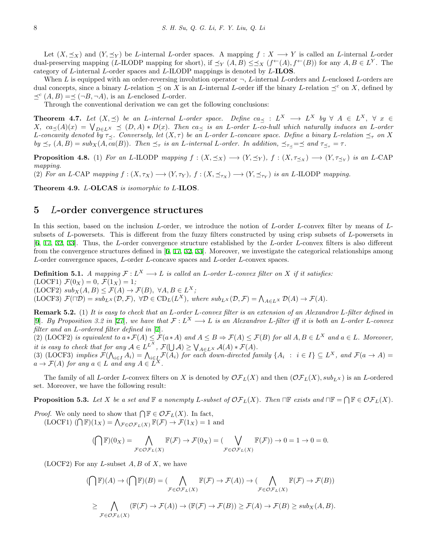Let  $(X, \preceq_X)$  and  $(Y, \preceq_Y)$  be *L*-internal *L*-order spaces. A mapping  $f : X \longrightarrow Y$  is called an *L*-internal *L*-order dual-preserving mapping (*L*-ILODP mapping for short), if  $\preceq_Y (A, B) \preceq \preceq_X (f \leftarrow (A), f \leftarrow (B))$  for any  $A, B \in L^Y$ . The category of *L*-internal *L*-order spaces and *L*-ILODP mappings is denoted by *L*-**ILOS**.

When *L* is equipped with an order-reversing involution operator *¬*, *L*-internal *L*-orders and *L*-enclosed *L*-orders are dual concepts, since a binary *L*-relation  $\preceq$  on *X* is an *L*-internal *L*-order iff the binary *L*-relation  $\preceq^c$  on *X*, defined by *≼c* (*A, B*) =*≼* (*¬B, ¬A*), is an *L*-enclosed *L*-order.

Through the conventional derivation we can get the following conclusions:

**Theorem 4.7.** Let  $(X, \preceq)$  be an L-internal L-order space. Define  $ca_{\preceq} : L^X \longrightarrow L^X$  by  $\forall A \in L^X$ ,  $\forall x \in$  $X, \ ca_{\preceq}(A)(x) = \bigvee_{D \in L^X} \preceq (D, A) * D(x).$  Then  $ca_{\preceq}$  is an L-order L-co-hull which naturally induces an L-order L-concavity denoted by  $\tau_{\prec}$ . Conversely, let  $(X,\tau)$  be an L-order L-concave space. Define a binary L-relation  $\preceq_{\tau}$  on X  $by \preceq_{\tau} (A, B) = sub_X(A, ca(B)).$  Then  $\preceq_{\tau}$  is an L-internal L-order. In addition,  $\preceq_{\tau \prec} = \preceq$  and  $\tau_{\preceq_{\tau}} = \tau$ .

**Proposition 4.8.** (1) For an L-ILODP mapping  $f:(X,\preceq_X) \longrightarrow (Y,\preceq_Y)$ ,  $f:(X,\tau_{\preceq_X}) \longrightarrow (Y,\tau_{\preceq_Y})$  is an L-CAP *mapping.*

(2) For an L-CAP mapping  $f:(X,\tau_X) \longrightarrow (Y,\tau_Y)$ ,  $f:(X,\preceq_{\tau_X}) \longrightarrow (Y,\preceq_{\tau_Y})$  is an L-ILODP mapping.

**Theorem 4.9.** *L-***OLCAS** *is isomorphic to L-***ILOS***.*

### **5** *L***-order convergence structures**

In this section, based on the inclusion *L*-order, we introduce the notion of *L*-order *L*-convex filter by means of *L*subsets of *L*-powersets. This is different from the fuzzy filters constructed by using crisp subsets of *L*-powersets in [[6,](#page-12-9) [17,](#page-13-13) [32,](#page-13-16) [33\]](#page-13-8). Thus, the *L*-order convergence structure established by the *L*-order *L*-convex filters is also different from the convergence structures defined in [[6,](#page-12-9) [17,](#page-13-13) [32,](#page-13-16) [33](#page-13-8)]. Moreover, we investigate the categorical relationships among *L*-order convergence spaces, *L*-order *L*-concave spaces and *L*-order *L*-convex spaces.

**Definition 5.1.** *A mapping*  $\mathcal{F}: L^X \longrightarrow L$  *is called an L*-order *L*-convex filter on *X if it satisfies:*  $(\text{LOCF1}) \mathcal{F}(0_X) = 0, \mathcal{F}(1_X) = 1;$  $(\text{LOCF2}) \, \text{sub}_X(A, B) \leq \mathcal{F}(A) \to \mathcal{F}(B), \, \forall A, B \in L^X;$ (LOCF3)  $\mathcal{F}(\Box \mathcal{D}) = sub_{L^X}(\mathcal{D}, \mathcal{F}), \ \forall \mathcal{D} \in CD_L(L^X), \ where \ sub_{L^X}(\mathcal{D}, \mathcal{F}) = \bigwedge_{A \in L^X} \mathcal{D}(A) \rightarrow \mathcal{F}(A).$ 

**Remark 5.2.** (1) *It is easy to check that an L-order L-convex filter is an extension of an Alexandrov L-filter defined in* [[9\]](#page-12-10). By Proposition 3.2 in [\[27](#page-13-22)], we have that  $\mathcal{F}: L^X \longrightarrow L$  is an Alexandrov *L*-filter iff it is both an *L*-order *L*-convex *filter and an L-ordered filter defined in* [\[7](#page-12-11)]*.*

(2) (LOCF2) is equivalent to  $a * \mathcal{F}(A) \leq \mathcal{F}(a * A)$  and  $A \leq B \Rightarrow \mathcal{F}(A) \leq \mathcal{F}(B)$  for all  $A, B \in L^X$  and  $a \in L$ . Moreover, it is easy to check that for any  $A \in L^{L^X}$ ,  $\mathcal{F}(\bigcup A) \geq \bigvee_{A \in L^X} A(A) * \mathcal{F}(A)$ .<br>(3) (LOCF3) implies  $\mathcal{F}(\bigwedge_{i \in I} A_i) = \bigwedge_{i \in I} \mathcal{F}(A_i)$  for each down-directed family  $\{A_i : i \in I\} \subseteq L^X$ , and  $\mathcal{F}(a \to A) =$ 

 $a \rightarrow \mathcal{F}(A)$  *for any*  $a \in L$  *and any*  $A \in L^X$ .

The family of all *L*-order *L*-convex filters on *X* is denoted by  $\mathcal{OF}_L(X)$  and then  $(\mathcal{OF}_L(X), sub_{LX})$  is an *L*-ordered set. Moreover, we have the following result:

<span id="page-7-0"></span>**Proposition 5.3.** Let X be a set and  $\mathbb F$  a nonempty L-subset of  $\mathcal{OF}_L(X)$ . Then  $\Box \mathbb F$  exists and  $\Box \mathbb F = \bigcap \mathbb F \in \mathcal{OF}_L(X)$ .

*Proof.* We only need to show that  $\bigcap \mathbb{F} \in \mathcal{OF}_L(X)$ . In fact,  $(LOCF1)$   $(\bigcap \mathbb{F})(1_X) = \bigwedge_{\mathcal{F} \in \mathcal{OF}_L(X)} \mathbb{F}(\mathcal{F}) \to \mathcal{F}(1_X) = 1$  and

$$
(\bigcap \mathbb{F})(0_X) = \bigwedge_{\mathcal{F} \in \mathcal{OF}_L(X)} \mathbb{F}(\mathcal{F}) \to \mathcal{F}(0_X) = (\bigvee_{\mathcal{F} \in \mathcal{OF}_L(X)} \mathbb{F}(\mathcal{F})) \to 0 = 1 \to 0 = 0.
$$

(LOCF2) For any *L*-subset *A, B* of *X*, we have

$$
(\bigcap \mathbb{F})(A) \to (\bigcap \mathbb{F})(B) = (\bigcap_{\mathcal{F} \in \mathcal{OF}_L(X)} \mathbb{F}(\mathcal{F}) \to \mathcal{F}(A)) \to (\bigcap_{\mathcal{F} \in \mathcal{OF}_L(X)} \mathbb{F}(\mathcal{F}) \to \mathcal{F}(B))
$$
  
\n
$$
\geq \bigcap_{\mathcal{F} \in \mathcal{OF}_L(X)} (\mathbb{F}(\mathcal{F}) \to \mathcal{F}(A)) \to (\mathbb{F}(\mathcal{F}) \to \mathcal{F}(B)) \geq \mathcal{F}(A) \to \mathcal{F}(B) \geq sub_X(A, B).
$$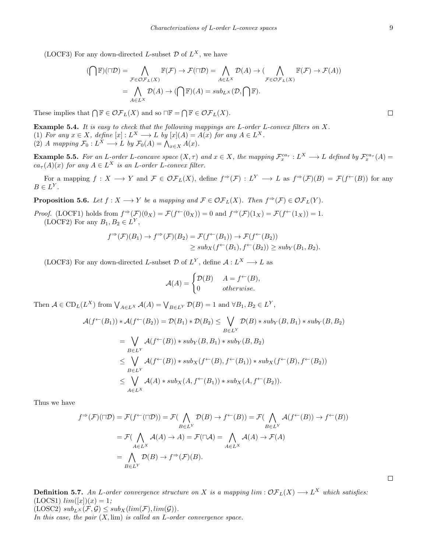(LOCF3) For any down-directed *L*-subset  $\mathcal{D}$  of  $L^X$ , we have

$$
(\bigcap \mathbb{F})(\sqcap \mathcal{D}) = \bigwedge_{\mathcal{F} \in \mathcal{OF}_L(X)} \mathbb{F}(\mathcal{F}) \to \mathcal{F}(\sqcap \mathcal{D}) = \bigwedge_{A \in L^X} \mathcal{D}(A) \to (\bigwedge_{\mathcal{F} \in \mathcal{OF}_L(X)} \mathbb{F}(\mathcal{F}) \to \mathcal{F}(A))
$$

$$
= \bigwedge_{A \in L^X} \mathcal{D}(A) \to (\bigcap \mathbb{F})(A) = sub_{L^X}(\mathcal{D}, \bigcap \mathbb{F}).
$$

These implies that  $\bigcap \mathbb{F} \in \mathcal{OF}_L(X)$  and so  $\Pi \mathbb{F} = \bigcap \mathbb{F} \in \mathcal{OF}_L(X)$ .

**Example 5.4.** *It is easy to check that the following mappings are L-order L-convex filters on X.* (1) For any  $x \in X$ , define  $[x]: L^X \longrightarrow L$  by  $[x](A) = A(x)$  for any  $A \in L^X$ . (2) *A* mapping  $\mathcal{F}_0: L^X \longrightarrow L$  by  $\mathcal{F}_0(A) = \bigwedge_{x \in X} A(x)$ .

**Example 5.5.** For an L-order L-concave space  $(X, \tau)$  and  $x \in X$ , the mapping  $\mathcal{F}_x^{ca_{\tau}} : L^X \longrightarrow L$  defined by  $\mathcal{F}_x^{ca_{\tau}}(A)$  $ca_{\tau}(A)(x)$  *for any*  $A \in L^X$  *is an L*-order *L*-convex filter.

For a mapping  $f: X \longrightarrow Y$  and  $\mathcal{F} \in \mathcal{OF}_L(X)$ , define  $f^{\Rightarrow}(\mathcal{F}): L^Y \longrightarrow L$  as  $f^{\Rightarrow}(\mathcal{F})(B) = \mathcal{F}(f^{\leftarrow}(B))$  for any  $B \in L^Y$ .

**Proposition 5.6.** *Let*  $f: X \longrightarrow Y$  *be a mapping and*  $\mathcal{F} \in \mathcal{OF}_L(X)$ *. Then*  $f^{\Rightarrow}(\mathcal{F}) \in \mathcal{OF}_L(Y)$ *.* 

*Proof.* (LOCF1) holds from  $f \neq (F)(0_X) = \mathcal{F}(f \leftarrow (0_X)) = 0$  and  $f \neq (F)(1_X) = \mathcal{F}(f \leftarrow (1_X)) = 1$ . (LOCF2) For any  $B_1, B_2 \in L^Y$ ,

$$
f^{\Rightarrow}(\mathcal{F})(B_1) \to f^{\Rightarrow}(\mathcal{F})(B_2) = \mathcal{F}(f^{\leftarrow}(B_1)) \to \mathcal{F}(f^{\leftarrow}(B_2))
$$
  

$$
\geq sub_X(f^{\leftarrow}(B_1), f^{\leftarrow}(B_2)) \geq sub_Y(B_1, B_2).
$$

(LOCF3) For any down-directed *L*-subset  $\mathcal{D}$  of  $L^Y$ , define  $\mathcal{A}: L^X \longrightarrow L$  as

$$
\mathcal{A}(A) = \begin{cases} \mathcal{D}(B) & A = f^{\leftarrow}(B), \\ 0 & otherwise. \end{cases}
$$

Then  $A \in CD_L(L^X)$  from  $\bigvee_{A \in L^X} A(A) = \bigvee_{B \in L^Y} \mathcal{D}(B) = 1$  and  $\forall B_1, B_2 \in L^Y$ ,

$$
\mathcal{A}(f^{\leftarrow}(B_1)) * \mathcal{A}(f^{\leftarrow}(B_2)) = \mathcal{D}(B_1) * \mathcal{D}(B_2) \leq \bigvee_{B \in L^Y} \mathcal{D}(B) * sub_Y(B, B_1) * sub_Y(B, B_2)
$$
  
\n
$$
= \bigvee_{B \in L^Y} \mathcal{A}(f^{\leftarrow}(B)) * sub_Y(B, B_1) * sub_Y(B, B_2)
$$
  
\n
$$
\leq \bigvee_{B \in L^Y} \mathcal{A}(f^{\leftarrow}(B)) * sub_X(f^{\leftarrow}(B), f^{\leftarrow}(B_1)) * sub_X(f^{\leftarrow}(B), f^{\leftarrow}(B_2))
$$
  
\n
$$
\leq \bigvee_{A \in L^X} \mathcal{A}(A) * sub_X(A, f^{\leftarrow}(B_1)) * sub_X(A, f^{\leftarrow}(B_2)).
$$

Thus we have

$$
f^{\Rightarrow}(\mathcal{F})(\sqcap \mathcal{D}) = \mathcal{F}(f^{\leftarrow}(\sqcap \mathcal{D})) = \mathcal{F}(\bigwedge_{B \in L^Y} \mathcal{D}(B) \to f^{\leftarrow}(B)) = \mathcal{F}(\bigwedge_{B \in L^Y} \mathcal{A}(f^{\leftarrow}(B)) \to f^{\leftarrow}(B))
$$
  
=  $\mathcal{F}(\bigwedge_{A \in L^X} \mathcal{A}(A) \to A) = \mathcal{F}(\sqcap \mathcal{A}) = \bigwedge_{A \in L^X} \mathcal{A}(A) \to \mathcal{F}(A)$   
=  $\bigwedge_{B \in L^Y} \mathcal{D}(B) \to f^{\Rightarrow}(\mathcal{F})(B).$ 

**Definition 5.7.** An *L*-order convergence structure on *X* is a mapping  $\lim : \mathcal{OF}_L(X) \longrightarrow L^X$  which satisfies:  $(LOCS1)$   $lim([x])(x) = 1;$  $(LOSC2) \, sub_{L^X}(\mathcal{F}, \mathcal{G}) \leq sub_X(lim(\mathcal{F}), lim(\mathcal{G})).$ 

*In this case, the pair* (*X,* lim) *is called an L-order convergence space.*

 $\Box$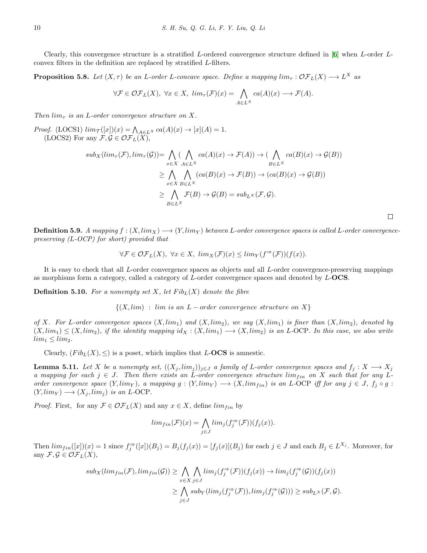Clearly, this convergence structure is a stratified *L*-ordered convergence structure defined in [\[6](#page-12-9)] when *L*-order *L*convex filters in the definition are replaced by stratified *L*-filters.

**Proposition 5.8.** Let  $(X, \tau)$  be an *L*-order *L*-concave space. Define a mapping  $\lim_{\tau}: \mathcal{OF}_L(X) \longrightarrow L^X$  as

$$
\forall \mathcal{F} \in \mathcal{OF}_L(X), \ \forall x \in X, \ \lim_{\tau}(\mathcal{F})(x) = \bigwedge_{A \in L^X} ca(A)(x) \longrightarrow \mathcal{F}(A).
$$

*Then*  $\lim_{\tau}$  *is an L-order convergence structure on X.* 

*Proof.*  $(LOCS1) \ \lim_{\mathcal{T}} ([x])(x) = \bigwedge_{A \in L} X \ ca(A)(x) \rightarrow [x](A) = 1.$ (LOCS2) For any  $\mathcal{F}, \mathcal{G} \in \mathcal{OF}_L(\bar{X})$ ,

$$
sub_X(lim_\tau(\mathcal{F}),\lim_{\tau(\mathcal{G})}) = \bigwedge_{x \in X} (\bigwedge_{A \in L^X} ca(A)(x) \to \mathcal{F}(A)) \to (\bigwedge_{B \in L^X} ca(B)(x) \to \mathcal{G}(B))
$$
  
\n
$$
\geq \bigwedge_{x \in X} \bigwedge_{B \in L^X} (ca(B)(x) \to \mathcal{F}(B)) \to (ca(B)(x) \to \mathcal{G}(B))
$$
  
\n
$$
\geq \bigwedge_{B \in L^X} \mathcal{F}(B) \to \mathcal{G}(B) = sub_{L^X}(\mathcal{F}, \mathcal{G}).
$$

**Definition 5.9.** *A mapping*  $f : (X, \text{lim}_X) \longrightarrow (Y, \text{lim}_Y)$  *between L*-order convergence spaces is called *L*-order convergence*preserving (L-OCP) for short) provided that*

$$
\forall \mathcal{F} \in \mathcal{OF}_L(X), \ \forall x \in X, \ \lim_X(\mathcal{F})(x) \leq \lim_Y(f^{\Rightarrow}(\mathcal{F}))(f(x)).
$$

It is easy to check that all *L*-order convergence spaces as objects and all *L*-order convergence-preserving mappings as morphisms form a category, called a category of *L*-order convergence spaces and denoted by *L*-**OCS**.

**Definition 5.10.** For a nonempty set  $X$ , let  $Fib_L(X)$  denote the fibre

*{*(*X, lim*) : *lim is an L − order convergence structure on X}*

*of X.* For *L*-order convergence spaces  $(X, \text{lim}_1)$  and  $(X, \text{lim}_2)$ *,* we say  $(X, \text{lim}_1)$  is finer than  $(X, \text{lim}_2)$ *, denoted by*  $(X, \text{lim}_1) \leq (X, \text{lim}_2)$ , if the identity mapping  $id_X : (X, \text{lim}_1) \longrightarrow (X, \text{lim}_2)$  is an *L*-OCP*.* In this case, we also write  $lim_1 \leq lim_2.$ 

Clearly,  $(Fib_L(X), \leq)$  is a poset, which implies that *L*-**OCS** is amnestic.

**Lemma 5.11.** Let X be a nonempty set,  $((X_j, \text{lim}_j))_{j \in J}$  a family of L-order convergence spaces and  $f_j: X \longrightarrow X_j$ *a* mapping for each  $j \in J$ . Then there exists an *L*-order convergence structure  $\lim_{f \downarrow n}$  on X such that for any *L*order convergence space  $(Y, \text{lim}_Y)$ , a mapping  $g: (Y, \text{lim}_Y) \longrightarrow (X, \text{lim}_{f \in \mathbb{R}})$  is an L-OCP iff for any  $j \in J$ ,  $f_j \circ g$ :  $(Y, \text{lim}_Y) \longrightarrow (X_i, \text{lim}_j)$  *is an L*-OCP.

*Proof.* First, for any  $\mathcal{F} \in \mathcal{OF}_L(X)$  and any  $x \in X$ , define  $\lim_{f \to n}$  by

$$
lim_{fin}(\mathcal{F})(x) = \bigwedge_{j \in J} lim_j(f_j^{\Rightarrow}(\mathcal{F}))(f_j(x)).
$$

Then  $\lim_{f \to n} ([x])(x) = 1$  since  $f_j^{\Rightarrow}([x])(B_j) = B_j(f_j(x)) = [f_j(x)](B_j)$  for each  $j \in J$  and each  $B_j \in L^{X_j}$ . Moreover, for any  $\mathcal{F}, \mathcal{G} \in \mathcal{OF}_L(X)$ ,

$$
sub_X(lim_{fin}(\mathcal{F}),\lim_{fin}(\mathcal{G})) \geq \bigwedge_{x \in X} \bigwedge_{j \in J} \lim_j(f_j^{\Rightarrow}(\mathcal{F}))(f_j(x)) \to \lim_j(f_j^{\Rightarrow}(\mathcal{G}))(f_j(x))
$$
  

$$
\geq \bigwedge_{j \in J} sub_Y(lim_j(f_j^{\Rightarrow}(\mathcal{F})),\lim_j(f_j^{\Rightarrow}(\mathcal{G}))) \geq sub_{L^X}(\mathcal{F},\mathcal{G}).
$$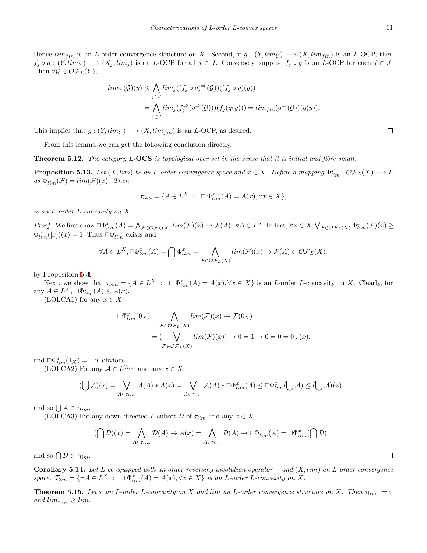Hence  $\lim_{fin}$  is an *L*-order convergence structure on *X*. Second, if  $g: (Y, \lim_{Y}) \longrightarrow (X, \lim_{fin})$  is an *L*-OCP, then  $f_j \circ g : (Y, \text{lim}_Y) \longrightarrow (X_j, \text{lim}_j)$  is an L-OCP for all  $j \in J$ . Conversely, suppose  $f_j \circ g$  is an L-OCP for each  $j \in J$ . Then  $\forall \mathcal{G} \in \mathcal{OF}_L(Y)$ ,

$$
\begin{aligned} \lim_{Y}(\mathcal{G})(y) &\leq \bigwedge_{j\in J} \lim_{j} ((f_j \circ g)^{\Rightarrow}(\mathcal{G}))((f_j \circ g)(y)) \\ &= \bigwedge_{j\in J} \lim_{j} (f_j^{\Rightarrow}(g^{\Rightarrow}(\mathcal{G}))) (f_j(g(y))) = \lim_{f \in J} (g^{\Rightarrow}(\mathcal{G})) (g(y)). \end{aligned}
$$

This implies that  $g: (Y, \text{lim}_Y) \longrightarrow (X, \text{lim}_{f \in \mathbb{N}})$  is an *L*-OCP, as desired.

From this lemma we can get the following conclusion directly.

**Theorem 5.12.** *The category L-***OCS** *is topological over set in the sense that it is initial and fibre small.*

<span id="page-10-0"></span>**Proposition 5.13.** Let  $(X, lim)$  be an L-order convergence space and  $x \in X$ . Define a mapping  $\Phi_{lim}^x : \mathcal{OF}_L(X) \longrightarrow L$  $as \Phi_{\lim}^x(\mathcal{F}) = \lim(\mathcal{F})(x)$ *. Then* 

$$
\tau_{lim} = \{ A \in L^X : \ \Box \Phi_{lim}^x(A) = A(x), \forall x \in X \},
$$

*is an L-order L-concavity on X.*

Proof. We first show  $\bigcap \Phi_{\lim}^x(A) = \bigwedge_{\mathcal{F} \in \mathcal{O}_{\mathcal{F}_L}(X)} \lim(\mathcal{F})(x) \to \mathcal{F}(A), \ \forall A \in L^X.$  In fact,  $\forall x \in X, \bigvee_{\mathcal{F} \in \mathcal{O}_{\mathcal{F}_L}(X)} \Phi_{\lim}^x(\mathcal{F})(x) \ge$  $\Phi_{lim}^x([x])(x) = 1$ . Thus  $\Box \Phi_{lim}^x$  exists and

$$
\forall A \in L^X, \Box \Phi_{\lim}^x(A) = \bigcap \Phi_{\lim}^x = \bigwedge_{\mathcal{F} \in \mathcal{O}_{\mathcal{F}_L}(X)} \lim(\mathcal{F})(x) \to \mathcal{F}(A) \in \mathcal{O}_{\mathcal{F}_L}(X),
$$

by Proposition [5.3](#page-7-0).

Next, we show that  $\tau_{lim} = \{A \in L^X : \prod \Phi_{lim}^x(A) = A(x), \forall x \in X\}$  is an *L*-order *L*-concavity on *X*. Clearly, for  $\text{any } A \in L^X$ ,  $\Box \Phi_{\lim}^x(A) \leq A(x)$ .

(LOLCA1) for any  $x \in X$ ,

$$
\begin{aligned} \Box \Phi_{\lim}^x(0_X) &= \bigwedge_{\mathcal{F} \in \mathcal{O}\mathcal{F}_L(X)} \lim(\mathcal{F})(x) \to \mathcal{F}(0_X) \\ &= \big(\bigvee_{\mathcal{F} \in \mathcal{O}\mathcal{F}_L(X)} \lim(\mathcal{F})(x)\big) \to 0 = 1 \to 0 = 0 = 0_X(x). \end{aligned}
$$

and  $\bigcap_{i=1}^{\infty}$  *a*<sub>*lim*</sub>(1*x*) = 1 is obvious.

(LOLCA2) For any  $A \in L^{\mathcal{T}_{lim}}$  and any  $x \in X$ ,

$$
(\bigcup \mathcal{A})(x) = \bigvee_{A \in \tau_{lim}} \mathcal{A}(A) * A(x) = \bigvee_{A \in \tau_{lim}} \mathcal{A}(A) * \sqcap \Phi^x_{lim}(A) \leq \sqcap \Phi^x_{lim}(\bigcup \mathcal{A}) \leq (\bigcup \mathcal{A})(x)
$$

and so  $\bigcup \mathcal{A} \in \tau_{lim}$ .

(LOLCA3) For any down-directed *L*-subset  $\mathcal{D}$  of  $\tau_{lim}$  and any  $x \in X$ ,

$$
(\bigcap \mathcal{D})(x) = \bigwedge_{A \in \tau_{lim}} \mathcal{D}(A) \to A(x) = \bigwedge_{A \in \tau_{lim}} \mathcal{D}(A) \to \Box \Phi_{lim}^x(A) = \Box \Phi_{lim}^x(\bigcap \mathcal{D})
$$

and so  $\bigcap \mathcal{D} \in \tau_{\text{lim}}$ .

**Corollary 5.14.** Let *L* be equipped with an order-reversing involution operator  $\neg$  and  $(X, lim)$  an *L*-order convergence space.  $\mathcal{T}_{lim} = \{ \neg A \in L^X : \Box \Phi_{lim}^x(A) = A(x), \forall x \in X \}$  is an L-order L-convexity on X.

<span id="page-10-1"></span>**Theorem 5.15.** Let  $\tau$  an L-order L-concavity on X and lim an L-order convergence structure on X. Then  $\tau_{lim_{\tau}} = \tau$  $and$   $\lim_{\tau \to \infty} \geq \lim_{\tau \to \infty}$ .

 $\Box$ 

 $\Box$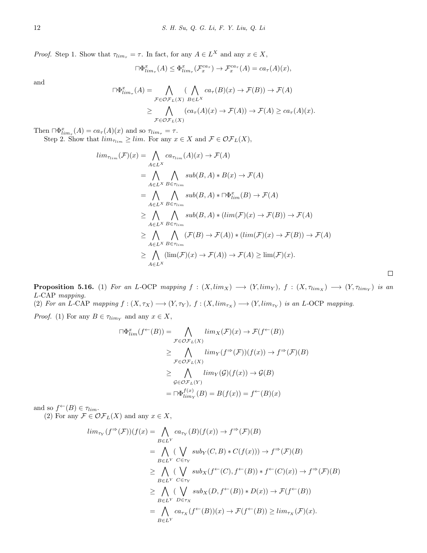*Proof.* Step 1. Show that  $\tau_{\lim_{\tau}} = \tau$ . In fact, for any  $A \in L^X$  and any  $x \in X$ ,

$$
\Box \Phi^x_{\lim_{\tau}}(A) \leq \Phi^x_{\lim_{\tau}}(\mathcal{F}_x^{ca_{\tau}}) \to \mathcal{F}_x^{ca_{\tau}}(A) = ca_{\tau}(A)(x),
$$

and

$$
\begin{aligned} \n\Box \Phi_{\lim_{\tau}}^{x}(A) &= \bigwedge_{\mathcal{F} \in \mathcal{O}(\mathcal{F})} (\bigwedge_{B \in L^{X}} ca_{\tau}(B)(x) \to \mathcal{F}(B)) \to \mathcal{F}(A) \\ \n&\geq \bigwedge_{\mathcal{F} \in \mathcal{O}(\mathcal{F})} (ca_{\tau}(A)(x) \to \mathcal{F}(A)) \to \mathcal{F}(A) \geq ca_{\tau}(A)(x). \n\end{aligned}
$$

Then  $\Box \Phi_{\lim_{\tau}}^x(A) = ca_{\tau}(A)(x)$  and so  $\tau_{\lim_{\tau}} = \tau$ .

Step 2. Show that  $\lim_{\tau_{\lim}} \ge \lim_{\tau \to \infty}$  For any  $x \in X$  and  $\mathcal{F} \in \mathcal{OF}_L(X)$ ,

$$
\lim_{\tau_{lim}} (\mathcal{F})(x) = \bigwedge_{A \in L^X} ca_{\tau_{lim}}(A)(x) \to \mathcal{F}(A)
$$
  
\n
$$
= \bigwedge_{A \in L^X} \bigwedge_{B \in \tau_{lim}} sub(B, A) * B(x) \to \mathcal{F}(A)
$$
  
\n
$$
= \bigwedge_{A \in L^X} \bigwedge_{B \in \tau_{lim}} sub(B, A) * \bigcap \Phi_{lim}^x(B) \to \mathcal{F}(A)
$$
  
\n
$$
\geq \bigwedge_{A \in L^X} \bigwedge_{B \in \tau_{lim}} sub(B, A) * (\lim(\mathcal{F})(x) \to \mathcal{F}(B)) \to \mathcal{F}(A)
$$
  
\n
$$
\geq \bigwedge_{A \in L^X} \bigwedge_{B \in \tau_{lim}} (\mathcal{F}(B) \to \mathcal{F}(A)) * (\lim(\mathcal{F})(x) \to \mathcal{F}(B)) \to \mathcal{F}(A)
$$
  
\n
$$
\geq \bigwedge_{A \in L^X} (\lim(\mathcal{F})(x) \to \mathcal{F}(A)) \to \mathcal{F}(A) \geq \lim(\mathcal{F})(x).
$$

**Proposition 5.16.** (1) For an L-OCP mapping  $f : (X, \text{lim}_X) \longrightarrow (Y, \text{lim}_Y)$ ,  $f : (X, \tau_{\text{lim}_X}) \longrightarrow (Y, \tau_{\text{lim}_Y})$  is an *L-*CAP *mapping.*

(2) For an L-CAP mapping  $f:(X,\tau_X) \longrightarrow (Y,\tau_Y)$ ,  $f:(X,lim_{\tau_X}) \longrightarrow (Y,lim_{\tau_Y})$  is an L-OCP mapping.

*Proof.* (1) For any  $B \in \tau_{\lim Y}$  and any  $x \in X$ ,

$$
\begin{aligned} \Box \Phi_{lim}^x(f^\leftarrow(B)) &= \bigwedge_{\mathcal{F} \in \mathcal{O}\mathcal{F}_L(X)} \lim_X(\mathcal{F})(x) \to \mathcal{F}(f^\leftarrow(B)) \\ &\geq \bigwedge_{\mathcal{F} \in \mathcal{O}\mathcal{F}_L(X)} \lim_Y(f^\Rightarrow(\mathcal{F}))(f(x)) \to f^\Rightarrow(\mathcal{F})(B) \\ &\geq \bigwedge_{\mathcal{G} \in \mathcal{O}\mathcal{F}_L(Y)} \lim_Y(\mathcal{G})(f(x)) \to \mathcal{G}(B) \\ &= \Box \Phi_{lim_Y}^{f(x)}(B) = B(f(x)) = f^\leftarrow(B)(x) \end{aligned}
$$

and so  $f^{\leftarrow}(B) \in \tau_{\text{lim}}$ .

(2) For any  $\mathcal{F} \in \mathcal{OF}_L(X)$  and any  $x \in X$ ,

$$
\lim_{\tau_Y} (f^{\Rightarrow}(\mathcal{F}))(f(x) = \bigwedge_{B \in L^Y} ca_{\tau_Y}(B)(f(x)) \to f^{\Rightarrow}(\mathcal{F})(B)
$$
  
\n
$$
= \bigwedge_{B \in L^Y} (\bigvee_{C \in \tau_Y} sub_Y(C, B) * C(f(x))) \to f^{\Rightarrow}(\mathcal{F})(B)
$$
  
\n
$$
\geq \bigwedge_{B \in L^Y} (\bigvee_{C \in \tau_Y} sub_X(f^{\leftarrow}(C), f^{\leftarrow}(B)) * f^{\leftarrow}(C)(x)) \to f^{\Rightarrow}(\mathcal{F})(B)
$$
  
\n
$$
\geq \bigwedge_{B \in L^Y} (\bigvee_{D \in \tau_X} sub_X(D, f^{\leftarrow}(B)) * D(x)) \to \mathcal{F}(f^{\leftarrow}(B))
$$
  
\n
$$
= \bigwedge_{B \in L^Y} ca_{\tau_X}(f^{\leftarrow}(B))(x) \to \mathcal{F}(f^{\leftarrow}(B)) \geq \lim_{\tau_X} (\mathcal{F})(x).
$$

 $\Box$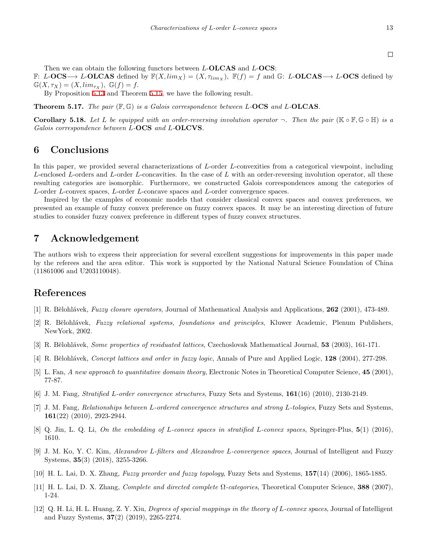Then we can obtain the following functors between *L*-**OLCAS** and *L*-**OCS**:

F: *L*-**OCS**→ *L*-**OLCAS** defined by  $\mathbb{F}(X, \lim_X) = (X, \tau_{\lim_X}), \mathbb{F}(f) = f$  and G: *L*-**OLCAS**→ *L*-**OCS** defined by  $\mathbb{G}(X,\tau_X)=(X,\lim_{\tau_X})$ ,  $\mathbb{G}(f)=f$ .

By Proposition [5.13](#page-10-0) and Theorem [5.15,](#page-10-1) we have the following result.

**Theorem 5.17.** *The pair* (F*,* G) *is a Galois correspondence between L-***OCS** *and L-***OLCAS***.*

**Corollary 5.18.** Let L be equipped with an order-reversing involution operator  $\neg$ . Then the pair ( $\mathbb{K} \circ \mathbb{F}, \mathbb{G} \circ \mathbb{H}$ ) is a *Galois correspondence between L-***OCS** *and L-***OLCVS***.*

# **6 Conclusions**

In this paper, we provided several characterizations of *L*-order *L*-convexities from a categorical viewpoint, including *L*-enclosed *L*-orders and *L*-order *L*-concavities. In the case of *L* with an order-reversing involution operator, all these resulting categories are isomorphic. Furthermore, we constructed Galois correspondences among the categories of *L*-order *L*-convex spaces, *L*-order *L*-concave spaces and *L*-order convergence spaces.

Inspired by the examples of economic models that consider classical convex spaces and convex preferences, we presented an example of fuzzy convex preference on fuzzy convex spaces. It may be an interesting direction of future studies to consider fuzzy convex preference in different types of fuzzy convex structures.

### **7 Acknowledgement**

The authors wish to express their appreciation for several excellent suggestions for improvements in this paper made by the referees and the area editor. This work is supported by the National Natural Science Foundation of China (11861006 and U203110048).

# **References**

- <span id="page-12-0"></span>[1] R. B˘elohl´avek, *Fuzzy closure operators*, Journal of Mathematical Analysis and Applications, **262** (2001), 473-489.
- <span id="page-12-4"></span>[2] R. B˘elohl´avek, *Fuzzy relational systems, foundations and principles*, Kluwer Academic, Plenum Publishers, NewYork, 2002.
- <span id="page-12-3"></span>[3] R. Bĕlohlávek, *Some properties of residuated lattices*, Czechoslovak Mathematical Journal, **53** (2003), 161-171.
- <span id="page-12-5"></span>[4] R. B˘elohl´avek, *Concept lattices and order in fuzzy logic*, Annals of Pure and Applied Logic, **128** (2004), 277-298.
- <span id="page-12-6"></span>[5] L. Fan, *A new approach to quantitative domain theory*, Electronic Notes in Theoretical Computer Science, **45** (2001), 77-87.
- <span id="page-12-9"></span>[6] J. M. Fang, *Stratified L-order convergence structures*, Fuzzy Sets and Systems, **161**(16) (2010), 2130-2149.
- <span id="page-12-11"></span>[7] J. M. Fang, *Relationships between L-ordered convergence structures and strong L-tologies*, Fuzzy Sets and Systems, **161**(22) (2010), 2923-2944.
- <span id="page-12-1"></span>[8] Q. Jin, L. Q. Li, *On the embedding of L-convex spaces in stratified L-convex spaces*, Springer-Plus, **5**(1) (2016), 1610.
- <span id="page-12-10"></span>[9] J. M. Ko, Y. C. Kim, *Alexandrov L-filters and Alexandrov L-convergence spaces*, Journal of Intelligent and Fuzzy Systems, **35**(3) (2018), 3255-3266.
- <span id="page-12-8"></span>[10] H. L. Lai, D. X. Zhang, *Fuzzy preorder and fuzzy topology*, Fuzzy Sets and Systems, **157**(14) (2006), 1865-1885.
- <span id="page-12-7"></span>[11] H. L. Lai, D. X. Zhang, *Complete and directed complete* Ω*-categories*, Theoretical Computer Science, **388** (2007), 1-24.
- <span id="page-12-2"></span>[12] Q. H. Li, H. L. Huang, Z. Y. Xiu, *Degrees of special mappings in the theory of L-convex spaces*, Journal of Intelligent and Fuzzy Systems, **37**(2) (2019), 2265-2274.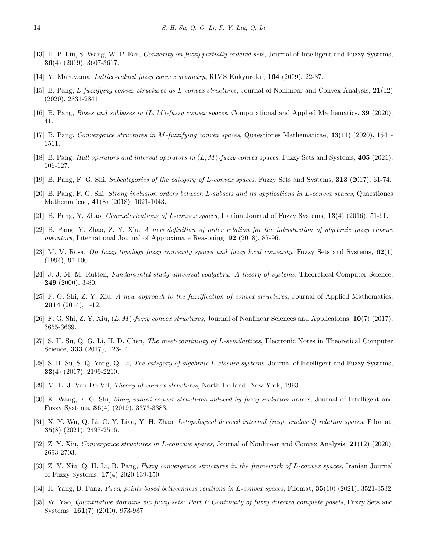- <span id="page-13-21"></span>[13] H. P. Liu, S. Wang, W. P. Fan, *Convexity on fuzzy partially ordered sets*, Journal of Intelligent and Fuzzy Systems, **36**(4) (2019), 3607-3617.
- <span id="page-13-2"></span>[14] Y. Maruyama, *Lattice-valued fuzzy convex geometry*, RIMS Kokyuroku, **164** (2009), 22-37.
- <span id="page-13-4"></span>[15] B. Pang, *L-fuzzifying convex structures as L-convex structures*, Journal of Nonlinear and Convex Analysis, **21**(12) (2020), 2831-2841.
- <span id="page-13-12"></span>[16] B. Pang, *Bases and subbases in* (*L, M*)*-fuzzy convex spaces*, Computational and Applied Mathematics, **39** (2020), 41.
- <span id="page-13-13"></span>[17] B. Pang, *Convergence structures in M-fuzzifying convex spaces*, Quaestiones Mathematicae, **43**(11) (2020), 1541- 1561.
- <span id="page-13-14"></span>[18] B. Pang, *Hull operators and interval operators in* (*L, M*)*-fuzzy convex spaces*, Fuzzy Sets and Systems, **405** (2021), 106-127.
- <span id="page-13-3"></span>[19] B. Pang, F. G. Shi, *Subcategories of the category of L-convex spaces*, Fuzzy Sets and Systems, **313** (2017), 61-74.
- <span id="page-13-6"></span>[20] B. Pang, F. G. Shi, *Strong inclusion orders between L-subsets and its applications in L-convex spaces*, Quaestiones Mathematicae, **41**(8) (2018), 1021-1043.
- <span id="page-13-5"></span>[21] B. Pang, Y. Zhao, *Characterizations of L-convex spaces*, Iranian Journal of Fuzzy Systems, **13**(4) (2016), 51-61.
- <span id="page-13-7"></span>[22] B. Pang, Y. Zhao, Z. Y. Xiu, *A new definition of order relation for the introduction of algebraic fuzzy closure operators*, International Journal of Approximate Reasoning, **92** (2018), 87-96.
- <span id="page-13-1"></span>[23] M. V. Rosa, *On fuzzy topology fuzzy convexity spaces and fuzzy local convexity*, Fuzzy Sets and Systems, **62**(1) (1994), 97-100.
- <span id="page-13-18"></span>[24] J. J. M. M. Rutten, *Fundamental study universal coalgebra: A theory of systems*, Theoretical Computer Science, **249** (2000), 3-80.
- <span id="page-13-10"></span>[25] F. G. Shi, Z. Y. Xiu, *A new approach to the fuzzification of convex structures*, Journal of Applied Mathematics, **2014** (2014), 1-12.
- <span id="page-13-11"></span>[26] F. G. Shi, Z. Y. Xiu, (*L, M*)*-fuzzy convex structures*, Journal of Nonlinear Sciences and Applications, **10**(7) (2017), 3655-3669.
- <span id="page-13-22"></span>[27] S. H. Su, Q. G. Li, H. D. Chen, *The meet-continuity of L-semilattices*, Electronic Notes in Theoretical Computer Science, **333** (2017), 123-141.
- <span id="page-13-0"></span>[28] S. H. Su, S. Q. Yang, Q. Li, *The category of algebraic L-closure systems*, Journal of Intelligent and Fuzzy Systems, **33**(4) (2017), 2199-2210.
- <span id="page-13-20"></span>[29] M. L. J. Van De Vel, *Theory of convex structures*, North Holland, New York, 1993.
- <span id="page-13-17"></span>[30] K. Wang, F. G. Shi, *Many-valued convex structures induced by fuzzy inclusion orders*, Journal of Intelligent and Fuzzy Systems, **36**(4) (2019), 3373-3383.
- <span id="page-13-15"></span>[31] X. Y. Wu, Q. Li, C. Y. Liao, Y. H. Zhao, *L-topological derived internal (resp. enclosed) relation spaces*, Filomat, **35**(8) (2021), 2497-2516.
- <span id="page-13-16"></span>[32] Z. Y. Xiu, *Convergence structures in L-concave spaces*, Journal of Nonlinear and Convex Analysis, **21**(12) (2020), 2693-2703.
- <span id="page-13-8"></span>[33] Z. Y. Xiu, Q. H. Li, B. Pang, *Fuzzy convergence structures in the framework of L-convex spaces*, Iranian Journal of Fuzzy Systems, **17**(4) 2020,139-150.
- <span id="page-13-9"></span>[34] H. Yang, B. Pang, *Fuzzy points based betweenness relations in L-convex spaces*, Filomat, **35**(10) (2021), 3521-3532.
- <span id="page-13-19"></span>[35] W. Yao, *Quantitative domains via fuzzy sets: Part I: Continuity of fuzzy directed complete posets*, Fuzzy Sets and Systems, **161**(7) (2010), 973-987.